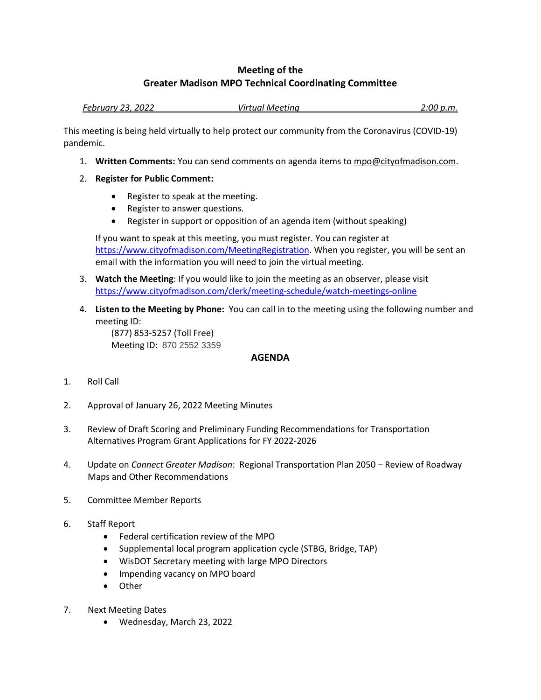## **Meeting of the Greater Madison MPO Technical Coordinating Committee**

*February 23, 2022 Virtual Meeting 2:00 p.m.*

This meeting is being held virtually to help protect our community from the Coronavirus (COVID-19) pandemic.

- 1. **Written Comments:** You can send comments on agenda items to mpo@cityofmadison.com.
- 2. **Register for Public Comment:**
	- Register to speak at the meeting.
	- Register to answer questions.
	- Register in support or opposition of an agenda item (without speaking)

If you want to speak at this meeting, you must register. You can register at [https://www.cityofmadison.com/MeetingRegistration.](https://www.cityofmadison.com/MeetingRegistration) When you register, you will be sent an email with the information you will need to join the virtual meeting.

- 3. **Watch the Meeting**: If you would like to join the meeting as an observer, please visit <https://www.cityofmadison.com/clerk/meeting-schedule/watch-meetings-online>
- 4. **Listen to the Meeting by Phone:** You can call in to the meeting using the following number and meeting ID:

(877) 853-5257 (Toll Free) Meeting ID: 870 2552 3359

## **AGENDA**

- 1. Roll Call
- 2. Approval of January 26, 2022 Meeting Minutes
- 3. Review of Draft Scoring and Preliminary Funding Recommendations for Transportation Alternatives Program Grant Applications for FY 2022-2026
- 4. Update on *Connect Greater Madison*: Regional Transportation Plan 2050 Review of Roadway Maps and Other Recommendations
- 5. Committee Member Reports
- 6. Staff Report
	- Federal certification review of the MPO
	- Supplemental local program application cycle (STBG, Bridge, TAP)
	- WisDOT Secretary meeting with large MPO Directors
	- Impending vacancy on MPO board
	- Other
- 7. Next Meeting Dates
	- Wednesday, March 23, 2022